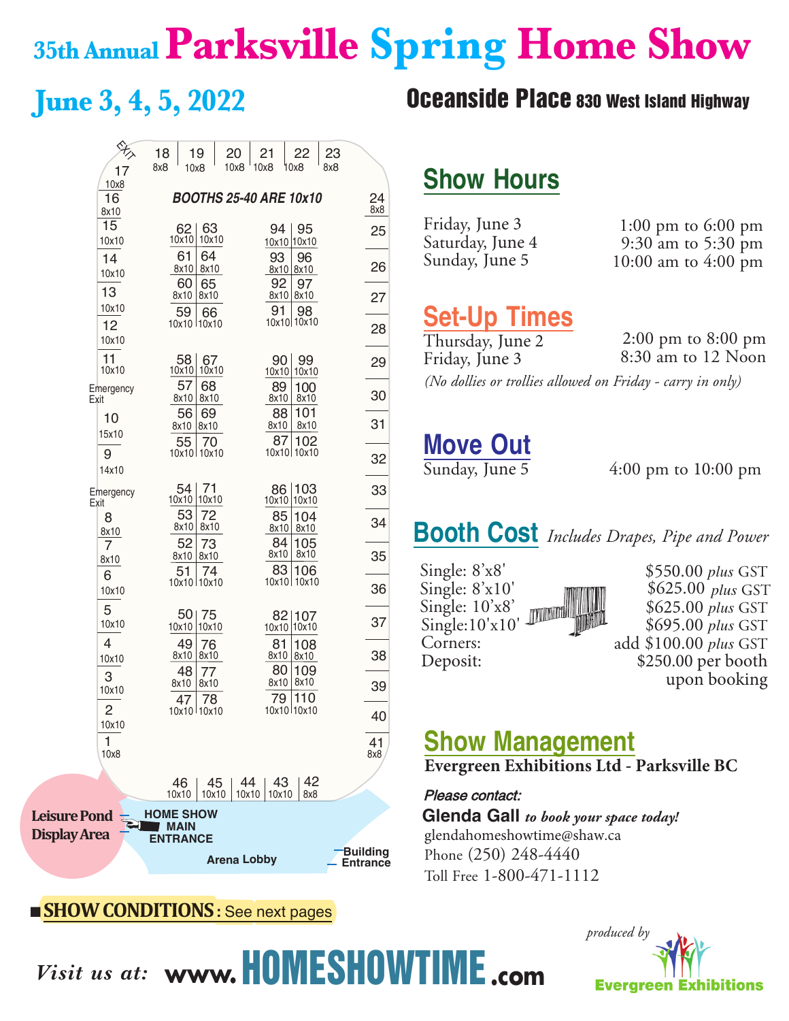## **35th AnnualParksville Spring Home Show**

|                     | 18  | 19                         | 20                 | 21                            | 22                    | 23                                 |
|---------------------|-----|----------------------------|--------------------|-------------------------------|-----------------------|------------------------------------|
| 17<br>10x8          | 8x8 | 10x8                       | 10x8               | 10x8                          | 10x8                  | 8x8                                |
| 16<br>8x10          |     |                            |                    | <b>BOOTHS 25-40 ARE 10x10</b> |                       | 24<br>8x8                          |
| 15<br>10x10         |     | 63<br>62<br>10x10<br>10x10 |                    | 94                            | 95<br>10x10 10x10     | 25                                 |
| 14                  |     | 61<br>64<br>8x10<br>8x10   |                    | 93                            | 96<br>8x10 8x10       | 26                                 |
| 10x10<br>13         |     | 60<br>65<br>8x10<br>8x10   |                    | 92<br>8x10                    | 97<br>8x10            |                                    |
| 10x10               |     | 59<br>66                   |                    | 91                            | 98                    | 27                                 |
| 12<br>10x10         |     | 10x10 110x10               |                    |                               | 10x10 10x10           | 28                                 |
| 11<br>10x10         |     | 58<br>67<br>10x10<br>10x10 |                    | 90<br>10x101                  | 99<br>10x10           | 29                                 |
| Emergency<br>Exit   |     | 57<br>68<br>8x10<br>8x10   |                    | 89<br>8x10                    | 100<br>8x10           | 30                                 |
| 10                  |     | 56<br>69<br>8x10<br>8x10   |                    | 88<br>8x10                    | 101<br>8x10           | 31                                 |
| 15x10<br>9          |     | 55<br>70<br>10x10110x10    |                    | 87                            | 102<br>10x10 10x10    |                                    |
| 14x10               |     |                            |                    |                               |                       | 32                                 |
| Emergency<br>Exit   |     | 71<br>54<br>10x10 10x10    |                    | 86<br>10x10                   | 103<br>10x10          | 33                                 |
| 8<br>8x10           |     | 53<br>72<br>8x10<br>8x10   |                    | 85<br>8x10                    | 104<br>8x10           | 34                                 |
| 7<br>8x10           |     | 52<br>73<br>8x10<br>8x10   |                    | 84<br>8x10                    | 105<br>8x10           | 35                                 |
| 6                   |     | 51<br>74<br>10x10 10x10    |                    | 83                            | 106<br>10x10 10x10    |                                    |
| 10x10<br>5          |     |                            |                    |                               |                       | 36                                 |
| 10x10               |     | 50 75<br>10x10<br>10x10    |                    |                               | 82 107<br>10x10 10x10 | 37                                 |
| 4<br>10x10          |     | 49<br>76<br>8x10<br>8x10   |                    | 81<br>8x10                    | 108<br>8x10           | 38                                 |
| 3<br>10x10          |     | 48<br>77<br>8x10<br>8x10   |                    | 80<br>8x10                    | 109<br>8x10           | 39                                 |
| $\overline{c}$      |     | 78<br>47<br>10x10 110x10   |                    | 79                            | 110<br>10x10 10x10    |                                    |
| 10x10               |     |                            |                    |                               |                       | 40                                 |
| 1<br>10x8           |     |                            |                    |                               |                       | 41<br>8x8                          |
|                     |     | 46.                        | -44<br>45          | 43                            | 42                    |                                    |
|                     |     | 10x10<br><b>HOME SHOW</b>  | 10x10              | 10x10 10x10                   | 8x8                   |                                    |
| <b>Pond</b><br>Area |     | <b>MAIN</b>                |                    |                               |                       |                                    |
|                     |     | <b>ENTRANCE</b>            | <b>Arena Lobby</b> |                               |                       | <b>Building</b><br><b>Entrance</b> |
|                     |     |                            |                    |                               |                       |                                    |

#### ■ **SHOWCONDITIONS:** See next pages

Leisure **Display** 

## **June 3, 4, 5, 2022 Oceanside Place 830 West Island Highway**

## **Show Hours**

| Friday, June 3   | 1:00 pm to $6:00$ pm          |
|------------------|-------------------------------|
| Saturday, June 4 | 9:30 am to $5:30 \text{ pm}$  |
| Sunday, June 5   | 10:00 am to $4:00 \text{ pm}$ |

## **Set-Up Times**

2:00 pm to 8:00 pm 8:30 am to 12 Noon *(No dollies or trollies allowed on Friday - carry in only)* Thursday, June 2 Friday, June 3

## **Move Out**<br> **Sunday, June 5**

 $4:00 \text{ pm}$  to  $10:00 \text{ pm}$ 

## **Booth Cost** *Includes Drapes, Pipe and Power*

| Single: $8'x8'$  | $$550.00$ plus GST    |
|------------------|-----------------------|
| Single: $8'x10'$ | $$625.00$ plus GST    |
| Single: $10'x8'$ | \$625.00 plus GST     |
| Single: 10'x10'  | \$695.00 plus GST     |
| Corners:         | add \$100.00 plus GST |
| Deposit:         | \$250.00 per booth    |
|                  | upon booking          |

\$550.00 *plus* GST 250.00 per booth upon booking

## **Show Management**

**Evergreen Exhibitions Ltd - Parksville BC**

#### Please contact:

**Glenda Gall** *to book your space today!* glendahomeshowtime@shaw.ca Phone (250) 248-4440 Toll Free 1-800-471-1112



*Visit us at:* **www.**HOMESHOWTIME**.com**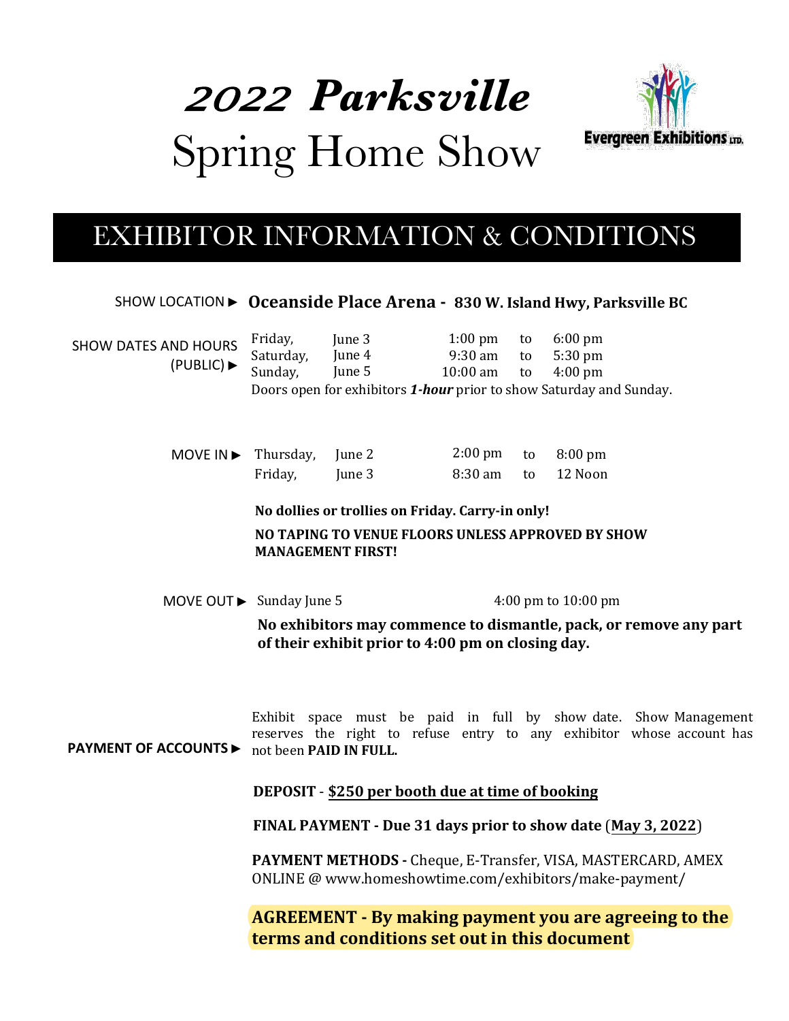# *<sup>2022</sup>Parksville* Spring Home Show



## EXHIBITOR INFORMATION & CONDITIONS

SHOW LOCATION ▶ **Oceanside Place Arena - 830 W. Island Hwy, Parksville BC**

| <b>SHOW DATES AND HOURS</b><br>(PUBLLC) | Friday,<br>Saturday,<br>Sunday,                                                                                                                                     | June 3<br>June 4<br>June 5 | $1:00 \text{ pm}$<br>9:30 am<br>$10:00$ am | to<br>to<br>to | $6:00 \text{ pm}$<br>5:30 pm<br>$4:00 \text{ pm}$                   |  |
|-----------------------------------------|---------------------------------------------------------------------------------------------------------------------------------------------------------------------|----------------------------|--------------------------------------------|----------------|---------------------------------------------------------------------|--|
|                                         |                                                                                                                                                                     |                            |                                            |                | Doors open for exhibitors 1-hour prior to show Saturday and Sunday. |  |
|                                         |                                                                                                                                                                     |                            |                                            |                |                                                                     |  |
| MOVE IN $\blacktriangleright$           | Thursday,                                                                                                                                                           | June 2                     | $2:00 \text{ pm}$                          | to             | $8:00 \text{ pm}$                                                   |  |
|                                         | Friday,                                                                                                                                                             | June 3                     | 8:30 am                                    | to             | 12 Noon                                                             |  |
|                                         | No dollies or trollies on Friday. Carry-in only!                                                                                                                    |                            |                                            |                |                                                                     |  |
|                                         | NO TAPING TO VENUE FLOORS UNLESS APPROVED BY SHOW<br><b>MANAGEMENT FIRST!</b>                                                                                       |                            |                                            |                |                                                                     |  |
| MOVE OUT ► Sunday June 5                |                                                                                                                                                                     |                            |                                            |                | 4:00 pm to $10:00$ pm                                               |  |
|                                         |                                                                                                                                                                     |                            |                                            |                |                                                                     |  |
|                                         | No exhibitors may commence to dismantle, pack, or remove any part<br>of their exhibit prior to 4:00 pm on closing day.                                              |                            |                                            |                |                                                                     |  |
| <b>PAYMENT OF ACCOUNTS ▶</b>            | Exhibit space must be paid in full by show-date. Show-Management<br>reserves the right to refuse entry to any exhibitor whose account has<br>not been PAID IN FULL. |                            |                                            |                |                                                                     |  |
|                                         | DEPOSIT - \$250 per booth due at time of booking                                                                                                                    |                            |                                            |                |                                                                     |  |
|                                         | FINAL PAYMENT - Due 31 days prior to show date (May 3, 2022)                                                                                                        |                            |                                            |                |                                                                     |  |
|                                         | PAYMENT METHODS - Cheque, E-Transfer, VISA, MASTERCARD, AMEX<br>ONLINE @ www.homeshowtime.com/exhibitors/make-payment/                                              |                            |                                            |                |                                                                     |  |
|                                         | <b>AGREEMENT - By making payment you are agreeing to the</b><br>terms and conditions set out in this document                                                       |                            |                                            |                |                                                                     |  |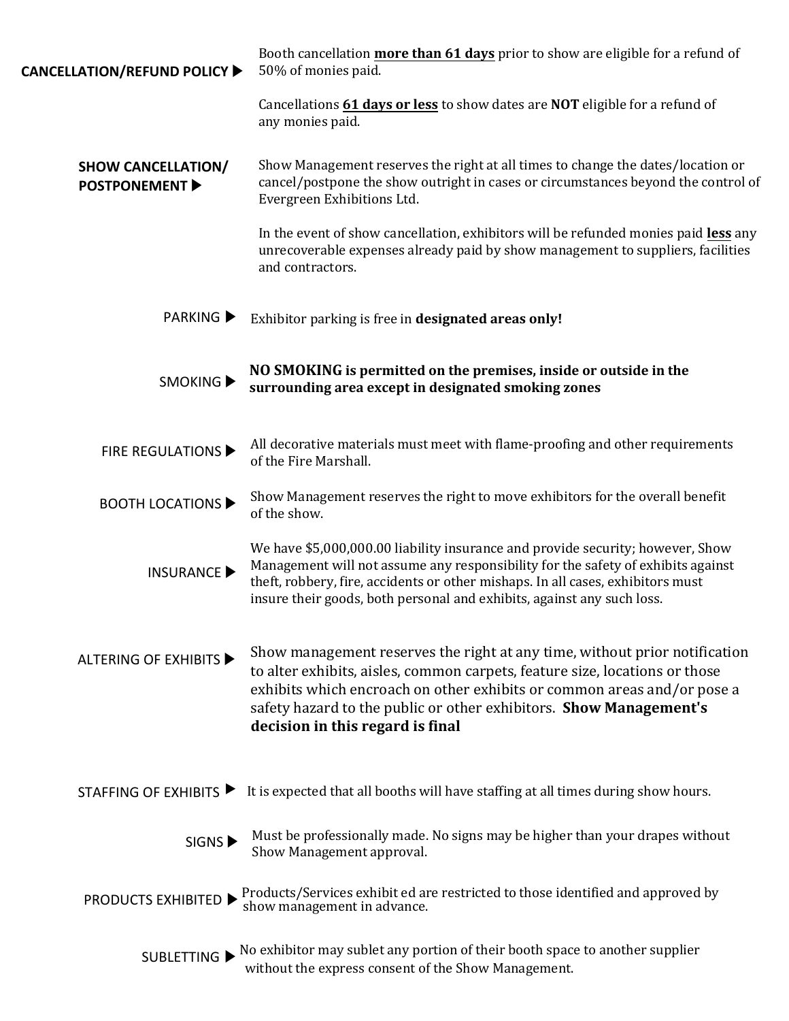| CANCELLATION/REFUND POLICY ▶                     | Booth cancellation more than 61 days prior to show are eligible for a refund of<br>50% of monies paid.                                                                                                                                                                                                                                         |  |  |  |
|--------------------------------------------------|------------------------------------------------------------------------------------------------------------------------------------------------------------------------------------------------------------------------------------------------------------------------------------------------------------------------------------------------|--|--|--|
|                                                  | Cancellations 61 days or less to show dates are NOT eligible for a refund of<br>any monies paid.                                                                                                                                                                                                                                               |  |  |  |
| <b>SHOW CANCELLATION/</b><br><b>POSTPONEMENT</b> | Show Management reserves the right at all times to change the dates/location or<br>cancel/postpone the show outright in cases or circumstances beyond the control of<br>Evergreen Exhibitions Ltd.                                                                                                                                             |  |  |  |
|                                                  | In the event of show cancellation, exhibitors will be refunded monies paid less any<br>unrecoverable expenses already paid by show management to suppliers, facilities<br>and contractors.                                                                                                                                                     |  |  |  |
| <b>PARKING</b> ▶                                 | Exhibitor parking is free in designated areas only!                                                                                                                                                                                                                                                                                            |  |  |  |
| SMOKING <sup>&gt;</sup>                          | NO SMOKING is permitted on the premises, inside or outside in the<br>surrounding area except in designated smoking zones                                                                                                                                                                                                                       |  |  |  |
| FIRE REGULATIONS                                 | All decorative materials must meet with flame-proofing and other requirements<br>of the Fire Marshall.                                                                                                                                                                                                                                         |  |  |  |
| <b>BOOTH LOCATIONS ▶</b>                         | Show Management reserves the right to move exhibitors for the overall benefit<br>of the show.                                                                                                                                                                                                                                                  |  |  |  |
| <b>INSURANCE ▶</b>                               | We have \$5,000,000.00 liability insurance and provide security; however, Show<br>Management will not assume any responsibility for the safety of exhibits against<br>theft, robbery, fire, accidents or other mishaps. In all cases, exhibitors must<br>insure their goods, both personal and exhibits, against any such loss.                |  |  |  |
| <b>ALTERING OF EXHIBITS</b>                      | Show management reserves the right at any time, without prior notification<br>to alter exhibits, aisles, common carpets, feature size, locations or those<br>exhibits which encroach on other exhibits or common areas and/or pose a<br>safety hazard to the public or other exhibitors. Show Management's<br>decision in this regard is final |  |  |  |
|                                                  | STAFFING OF EXHIBITS $\blacktriangleright$ It is expected that all booths will have staffing at all times during show hours.                                                                                                                                                                                                                   |  |  |  |
| SIGNS <sup>&gt;</sup>                            | Must be professionally made. No signs may be higher than your drapes without<br>Show Management approval.                                                                                                                                                                                                                                      |  |  |  |
|                                                  | <b>PRODUCTS EXHIBITED</b> $\triangleright$ Products/Services exhibit ed are restricted to those identified and approved by show management in advance.                                                                                                                                                                                         |  |  |  |
|                                                  | SUBLETTING $\blacktriangleright$ No exhibitor may sublet any portion of their booth space to another supplier<br>without the express consent of the Show Management.                                                                                                                                                                           |  |  |  |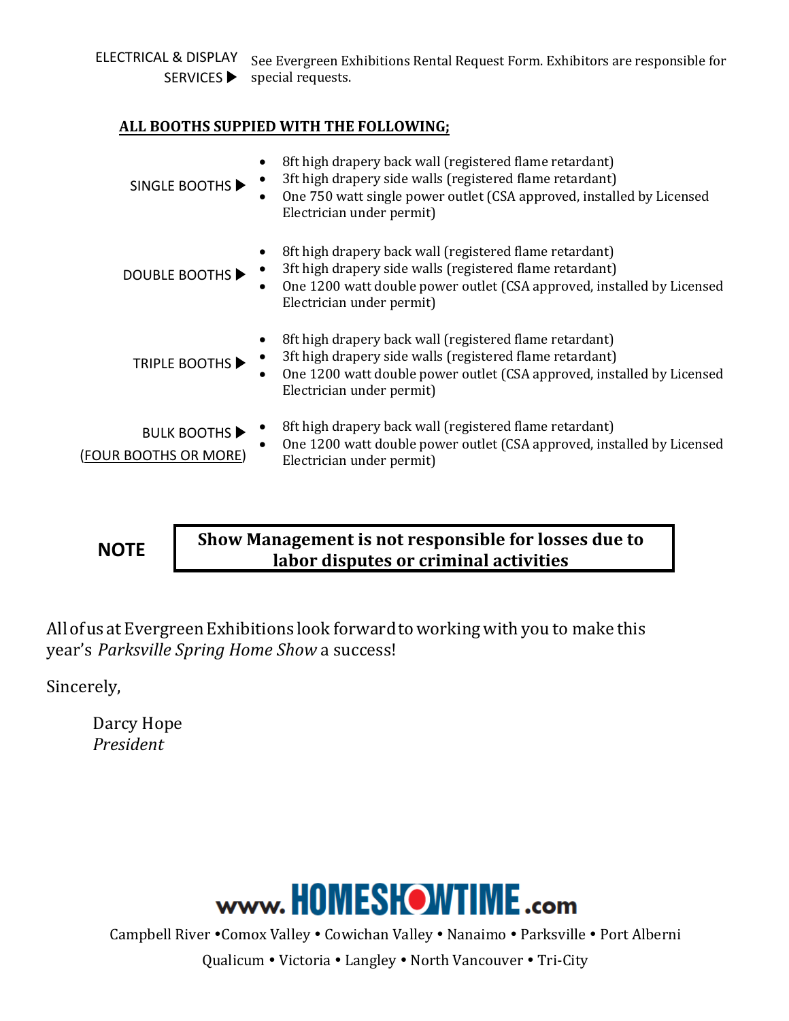ELECTRICAL & DISPLAY SERVICES ▶ See Evergreen Exhibitions Rental Request Form. Exhibitors are responsible for special requests.

#### **ALL BOOTHS SUPPIED WITH THE FOLLOWING;**

| $\bullet$<br>SINGLE BOOTHS ▶                | 8ft high drapery back wall (registered flame retardant)<br>3ft high drapery side walls (registered flame retardant)<br>One 750 watt single power outlet (CSA approved, installed by Licensed<br>Electrician under permit)  |
|---------------------------------------------|----------------------------------------------------------------------------------------------------------------------------------------------------------------------------------------------------------------------------|
| <b>DOUBLE BOOTHS ▶</b>                      | 8ft high drapery back wall (registered flame retardant)<br>3ft high drapery side walls (registered flame retardant)<br>One 1200 watt double power outlet (CSA approved, installed by Licensed<br>Electrician under permit) |
| <b>TRIPLE BOOTHS ▶</b>                      | 8ft high drapery back wall (registered flame retardant)<br>3ft high drapery side walls (registered flame retardant)<br>One 1200 watt double power outlet (CSA approved, installed by Licensed<br>Electrician under permit) |
| <b>BULK BOOTHS</b><br>(FOUR BOOTHS OR MORE) | 8ft high drapery back wall (registered flame retardant)<br>One 1200 watt double power outlet (CSA approved, installed by Licensed<br>Electrician under permit)                                                             |

**NOTE** 

**Show Management is not responsible for losses due to labor disputes or criminal activities**

All of us at Evergreen Exhibitions look forward to working with you to make this year's *Parksville Spring Home Show* a success!

Sincerely,

Darcy Hope *President*



Campbell River . Comox Valley . Cowichan Valley . Nanaimo . Parksville . Port Alberni

Qualicum . Victoria . Langley . North Vancouver . Tri-City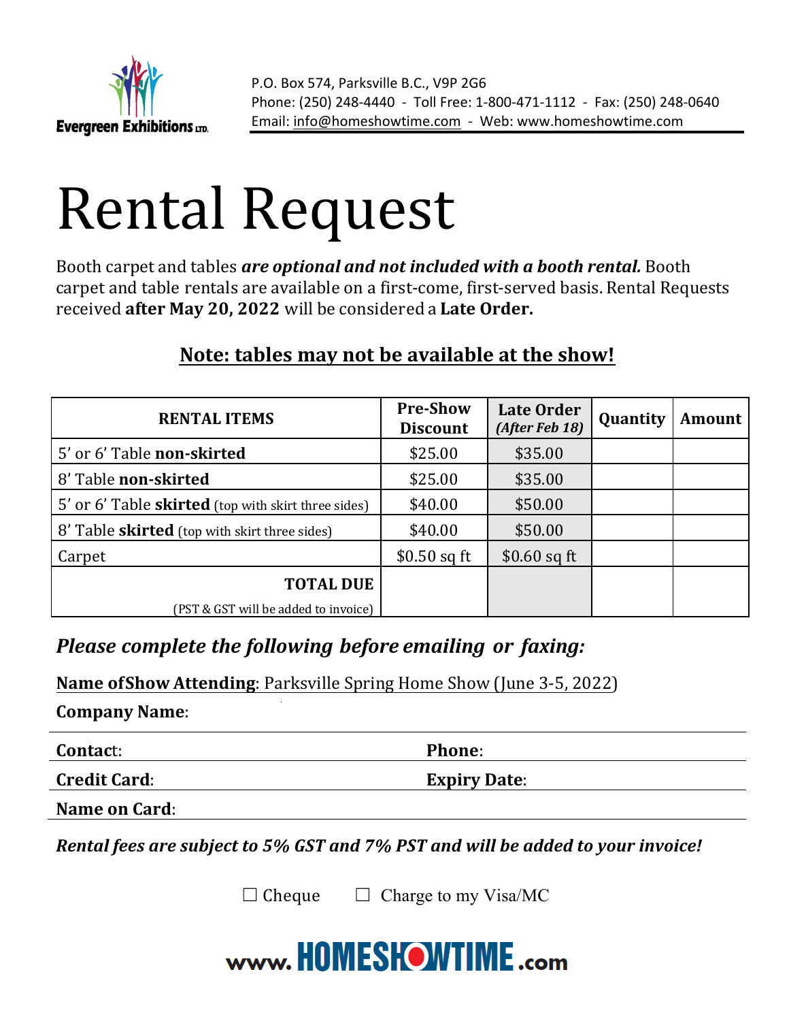

# Rental Request

Booth carpet and tables *are optional and not included with a booth rental.* Booth carpet and table rentals are available on a first-come, first-served basis. Rental Requests received after May 20, 2022 will be considered a Late Order.

### **Note: tables may not be available at the show!**

| <b>RENTAL ITEMS</b>                                  | <b>Pre-Show</b><br><b>Discount</b> | <b>Late Order</b><br>(After Feb 18) | Quantity | <b>Amount</b> |
|------------------------------------------------------|------------------------------------|-------------------------------------|----------|---------------|
| 5' or 6' Table non-skirted                           | \$25.00                            | \$35.00                             |          |               |
| 8' Table non-skirted                                 | \$25.00                            | \$35.00                             |          |               |
| 5' or 6' Table skirted (top with skirt three sides)  | \$40.00                            | \$50.00                             |          |               |
| 8' Table <b>skirted</b> (top with skirt three sides) | \$40.00                            | \$50.00                             |          |               |
| Carpet                                               | $$0.50$ sq ft                      | $$0.60$ sq ft                       |          |               |
| <b>TOTAL DUE</b>                                     |                                    |                                     |          |               |
| (PST & GST will be added to invoice)                 |                                    |                                     |          |               |

### *Please complete the following before emailing or faxing:*

**Name of Show Attending**: Parksville Spring Home Show (June 3-5, 2022)

**Company Name**: 

**Contac**t: **Phone**: 

**Credit Card: Expiry Date:** 

**Name on Card:** 

*Rental fees are subject to 5% GST and 7% PST and will be added to your invoice!* 

 $\Box$  Cheque  $\Box$  Charge to my Visa/MC

## www.HOMESHOWTIME.com